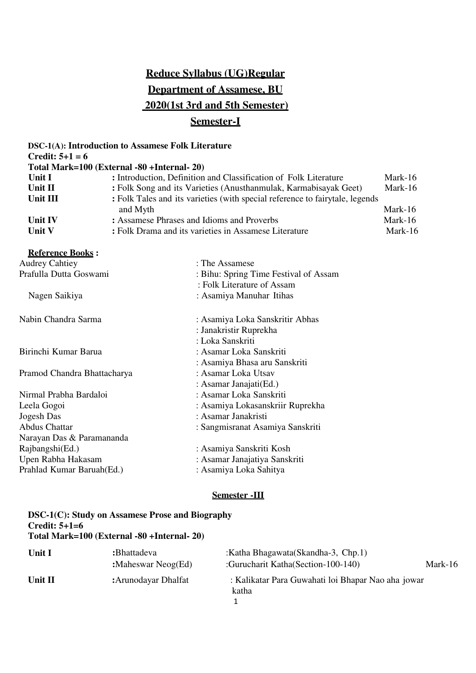## **Reduce Syllabus (UG)Regular Department of Assamese, BU 2020(1st 3rd and 5th Semester) Semester-I**

|                             | <b>DSC-1(A): Introduction to Assamese Folk Literature</b>                    |         |  |
|-----------------------------|------------------------------------------------------------------------------|---------|--|
| <b>Credit:</b> $5+1=6$      |                                                                              |         |  |
|                             | Total Mark=100 (External -80 +Internal- 20)                                  |         |  |
| Unit I                      | : Introduction, Definition and Classification of Folk Literature             |         |  |
| Unit II                     | : Folk Song and its Varieties (Anusthanmulak, Karmabisayak Geet)             | Mark-16 |  |
| Unit III                    | : Folk Tales and its varieties (with special reference to fairytale, legends |         |  |
|                             | and Myth                                                                     | Mark-16 |  |
| Unit IV                     | : Assamese Phrases and Idioms and Proverbs                                   | Mark-16 |  |
| Unit V                      | : Folk Drama and its varieties in Assamese Literature                        |         |  |
| <b>Reference Books:</b>     |                                                                              |         |  |
| <b>Audrey Cahtiey</b>       | : The Assamese                                                               |         |  |
| Prafulla Dutta Goswami      | : Bihu: Spring Time Festival of Assam                                        |         |  |
|                             | : Folk Literature of Assam                                                   |         |  |
| Nagen Saikiya               | : Asamiya Manuhar Itihas                                                     |         |  |
| Nabin Chandra Sarma         | : Asamiya Loka Sanskritir Abhas                                              |         |  |
|                             | : Janakristir Ruprekha                                                       |         |  |
|                             | : Loka Sanskriti                                                             |         |  |
| Birinchi Kumar Barua        | : Asamar Loka Sanskriti                                                      |         |  |
|                             | : Asamiya Bhasa aru Sanskriti                                                |         |  |
| Pramod Chandra Bhattacharya | : Asamar Loka Utsav                                                          |         |  |
|                             | : Asamar Janajati(Ed.)                                                       |         |  |
| Nirmal Prabha Bardaloi      | : Asamar Loka Sanskriti                                                      |         |  |
| Leela Gogoi                 | : Asamiya Lokasanskriir Ruprekha                                             |         |  |
| Jogesh Das                  | : Asamar Janakristi                                                          |         |  |
| <b>Abdus Chattar</b>        | : Sangmisranat Asamiya Sanskriti                                             |         |  |
| Narayan Das & Paramananda   |                                                                              |         |  |
| Rajbangshi(Ed.)             | : Asamiya Sanskriti Kosh                                                     |         |  |
| Upen Rabha Hakasam          | : Asamar Janajatiya Sanskriti                                                |         |  |
| Prahlad Kumar Baruah(Ed.)   | : Asamiya Loka Sahitya                                                       |         |  |
|                             |                                                                              |         |  |

## **Semester -III**

| <b>DSC-1(C): Study on Assamese Prose and Biography</b><br>Credit: $5+1=6$<br>Total Mark=100 (External -80 +Internal- 20) |                                       |                                                                           |         |
|--------------------------------------------------------------------------------------------------------------------------|---------------------------------------|---------------------------------------------------------------------------|---------|
| <b>Unit I</b>                                                                                                            | :Bhattadeva<br>: Maheswar Neog $(Ed)$ | :Katha Bhagawata(Skandha-3, Chp.1)<br>:Gurucharit Katha (Section-100-140) | Mark-16 |
| Unit II                                                                                                                  | : Arunodayar Dhalfat                  | : Kalikatar Para Guwahati loi Bhapar Nao aha jowar<br>katha               |         |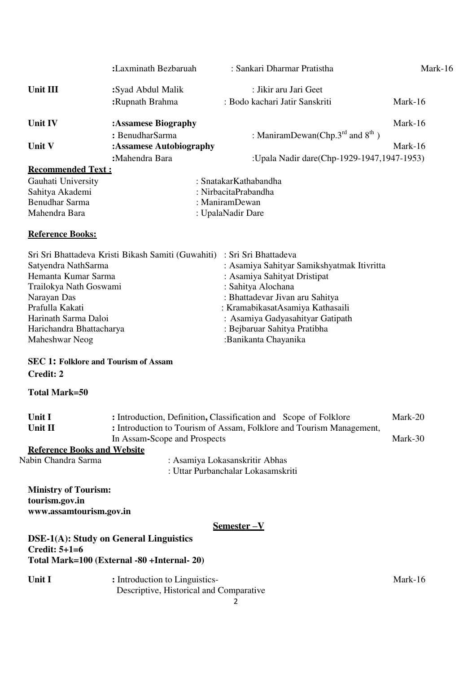|                                                                                                                                                                                                                                          | :Laxminath Bezbaruah                               | : Sankari Dharmar Pratistha                                                                                                                                                                                                                                                                 | Mark-16 |
|------------------------------------------------------------------------------------------------------------------------------------------------------------------------------------------------------------------------------------------|----------------------------------------------------|---------------------------------------------------------------------------------------------------------------------------------------------------------------------------------------------------------------------------------------------------------------------------------------------|---------|
| Unit III                                                                                                                                                                                                                                 | :Syad Abdul Malik                                  | : Jikir aru Jari Geet                                                                                                                                                                                                                                                                       |         |
|                                                                                                                                                                                                                                          | :Rupnath Brahma                                    | : Bodo kachari Jatir Sanskriti                                                                                                                                                                                                                                                              | Mark-16 |
| Unit IV                                                                                                                                                                                                                                  | :Assamese Biography                                |                                                                                                                                                                                                                                                                                             | Mark-16 |
|                                                                                                                                                                                                                                          | : BenudharSarma                                    | : ManiramDewan(Chp. $3^{\text{rd}}$ and $8^{\text{th}}$ )                                                                                                                                                                                                                                   |         |
| Unit V                                                                                                                                                                                                                                   | :Assamese Autobiography                            |                                                                                                                                                                                                                                                                                             | Mark-16 |
|                                                                                                                                                                                                                                          | :Mahendra Bara                                     | :Upala Nadir dare(Chp-1929-1947,1947-1953)                                                                                                                                                                                                                                                  |         |
| <b>Recommended Text:</b>                                                                                                                                                                                                                 |                                                    |                                                                                                                                                                                                                                                                                             |         |
| Gauhati University                                                                                                                                                                                                                       |                                                    | : SnatakarKathabandha                                                                                                                                                                                                                                                                       |         |
| Sahitya Akademi                                                                                                                                                                                                                          |                                                    | : NirbacitaPrabandha                                                                                                                                                                                                                                                                        |         |
| <b>Benudhar Sarma</b>                                                                                                                                                                                                                    |                                                    | : ManiramDewan                                                                                                                                                                                                                                                                              |         |
| Mahendra Bara                                                                                                                                                                                                                            |                                                    | : UpalaNadir Dare                                                                                                                                                                                                                                                                           |         |
| <b>Reference Books:</b>                                                                                                                                                                                                                  |                                                    |                                                                                                                                                                                                                                                                                             |         |
| Satyendra NathSarma<br>Hemanta Kumar Sarma<br>Trailokya Nath Goswami<br>Narayan Das<br>Prafulla Kakati<br>Harinath Sarma Daloi<br>Harichandra Bhattacharya<br>Maheshwar Neog<br><b>SEC 1: Folklore and Tourism of Assam</b><br>Credit: 2 | Sri Sri Bhattadeva Kristi Bikash Samiti (Guwahiti) | : Sri Sri Bhattadeva<br>: Asamiya Sahityar Samikshyatmak Itivritta<br>: Asamiya Sahityat Dristipat<br>: Sahitya Alochana<br>: Bhattadevar Jivan aru Sahitya<br>: KramabikasatAsamiya Kathasaili<br>: Asamiya Gadyasahityar Gatipath<br>: Bejbaruar Sahitya Pratibha<br>:Banikanta Chayanika |         |
| <b>Total Mark=50</b>                                                                                                                                                                                                                     |                                                    |                                                                                                                                                                                                                                                                                             |         |
| Unit I<br>Unit II                                                                                                                                                                                                                        |                                                    | : Introduction, Definition, Classification and Scope of Folklore<br>: Introduction to Tourism of Assam, Folklore and Tourism Management,                                                                                                                                                    | Mark-20 |

**Reference Books and Website**<br>Nabin Chandra Sarma

: Asamiya Lokasanskritir Abhas : Uttar Purbanchalar Lokasamskriti

In Assam**-**Scope and Prospects Mark-30

**Ministry of Tourism: tourism.gov.i[n](http://www.assamtourism.gov.in/)  [www.assamtourism.gov.in](http://www.assamtourism.gov.in/)** 

**Semester –V** 

**DSE-1(A): Study on General Linguistics Credit: 5+1=6 Total Mark=100 (External -80 +Internal- 20)** 

Unit I : Introduction to Linguistics-<br>
Mark-16 Descriptive, Historical and Comparative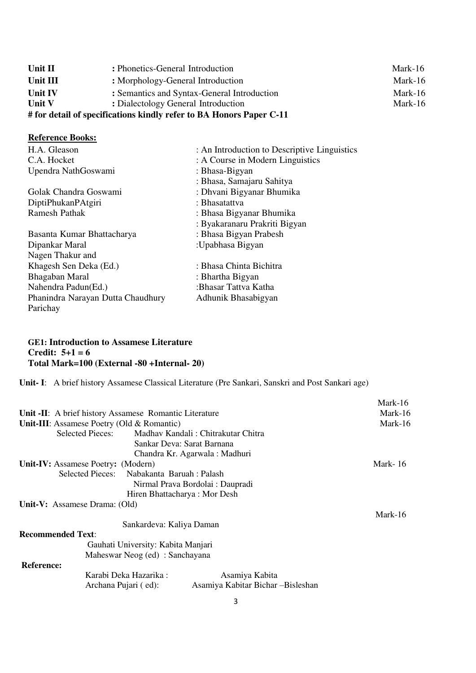| Unit II                                                             | : Phonetics-General Introduction            | Mark-16 |
|---------------------------------------------------------------------|---------------------------------------------|---------|
| Unit III                                                            | : Morphology-General Introduction           | Mark-16 |
| Unit IV                                                             | : Semantics and Syntax-General Introduction | Mark-16 |
| <b>Unit V</b>                                                       | : Dialectology General Introduction         | Mark-16 |
| # for detail of specifications kindly refer to BA Honors Paper C-11 |                                             |         |

## **Reference Books:**

| H.A. Gleason                      | : An Introduction to Descriptive Linguistics |
|-----------------------------------|----------------------------------------------|
| C.A. Hocket                       | : A Course in Modern Linguistics             |
| Upendra NathGoswami               | : Bhasa-Bigyan                               |
|                                   | : Bhasa, Samajaru Sahitya                    |
| Golak Chandra Goswami             | : Dhvani Bigyanar Bhumika                    |
| DiptiPhukanPAtgiri                | : Bhasatattva                                |
| Ramesh Pathak                     | : Bhasa Bigyanar Bhumika                     |
|                                   | : Byakaranaru Prakriti Bigyan                |
| Basanta Kumar Bhattacharya        | : Bhasa Bigyan Prabesh                       |
| Dipankar Maral                    | :Upabhasa Bigyan                             |
| Nagen Thakur and                  |                                              |
| Khagesh Sen Deka (Ed.)            | : Bhasa Chinta Bichitra                      |
| Bhagaban Maral                    | : Bhartha Bigyan                             |
| Nahendra Padun(Ed.)               | :Bhasar Tattva Katha                         |
| Phanindra Narayan Dutta Chaudhury | Adhunik Bhasabigyan                          |
| Parichay                          |                                              |
|                                   |                                              |

## **GE1: Introduction to Assamese Literature Credit: 5+1 = 6 Total Mark=100 (External -80 +Internal- 20)**

**Unit- I**: A brief history Assamese Classical Literature (Pre Sankari, Sanskri and Post Sankari age)

|                                                           | Mark-16 |
|-----------------------------------------------------------|---------|
| Unit -II: A brief history Assamese Romantic Literature    | Mark-16 |
| Unit-III: Assamese Poetry (Old $&$ Romantic)              | Mark-16 |
| Selected Pieces:<br>Madhav Kandali: Chitrakutar Chitra    |         |
| Sankar Deva: Sarat Barnana                                |         |
| Chandra Kr. Agarwala: Madhuri                             |         |
| Unit-IV: Assamese Poetry: (Modern)                        | Mark-16 |
| Selected Pieces: Nabakanta Baruah : Palash                |         |
| Nirmal Prava Bordolai : Daupradi                          |         |
| Hiren Bhattacharya: Mor Desh                              |         |
| Unit-V: Assamese Drama: (Old)                             |         |
|                                                           | Mark-16 |
| Sankardeva: Kaliya Daman                                  |         |
| <b>Recommended Text:</b>                                  |         |
| Gauhati University: Kabita Manjari                        |         |
| Maheswar Neog (ed) : Sanchayana                           |         |
| <b>Reference:</b>                                         |         |
| Karabi Deka Hazarika :<br>Asamiya Kabita                  |         |
| Asamiya Kabitar Bichar -Bisleshan<br>Archana Pujari (ed): |         |